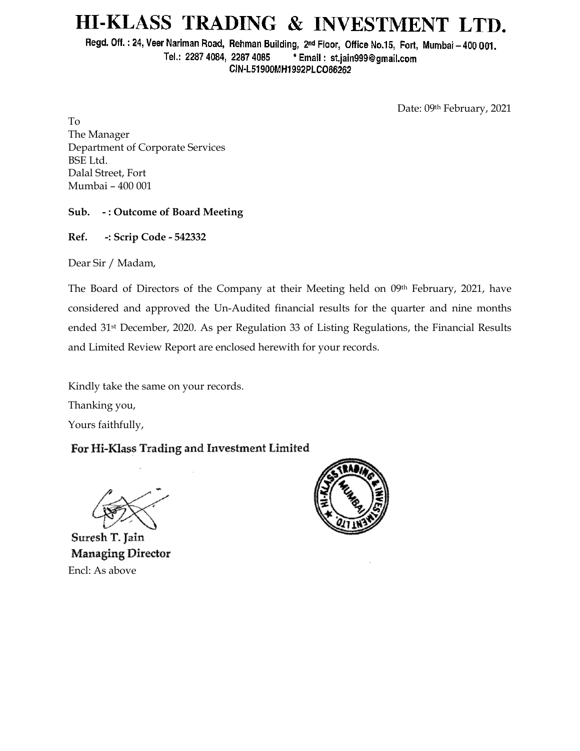# HI-KLASS TRADING & INVESTMENT LTD.

Regd. Off.: 24, Veer Nariman Road, Rehman Building, 2nd Floor, Office No.15, Fort, Mumbai - 400 001. Tel.: 2287 4084, 2287 4085 \* Email: st.jain999@gmail.com CIN-L51900MH1992PLCO66262

Date: 09th February, 2021

To The Manager Department of Corporate Services BSE Ltd. Dalal Street, Fort Mumbai – 400 001

### **Sub. - : Outcome of Board Meeting**

**Ref. -: Scrip Code - 542332**

Dear Sir / Madam,

The Board of Directors of the Company at their Meeting held on 09th February, 2021, have considered and approved the Un-Audited financial results for the quarter and nine months ended 31st December, 2020. As per Regulation 33 of Listing Regulations, the Financial Results and Limited Review Report are enclosed herewith for your records.

Kindly take the same on your records.

Thanking you,

Yours faithfully,

## For Hi-Klass Trading and Investment Limited

Suresh T. Jain **Managing Director** Encl: As above

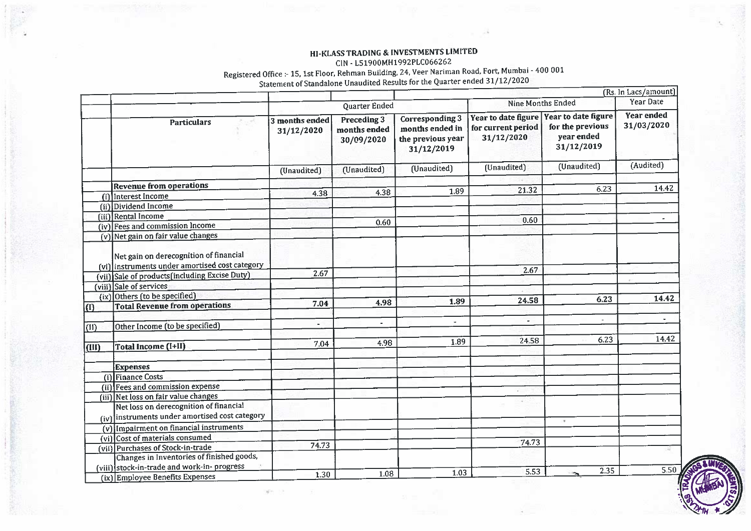### **HI-KLASS TRADING & INVESTMENTS LIMITED**

#### CIN - L51900MH1992PLC066262 **CIN - L51900MH1992PLCD062**

#### Registered Office :- 15, 15t Floor ; Rehman Building, 24, Veer Narming,  $\frac{1}{2}$

|             |                                                                                          | Statement of Julianual Chaudited Room |                                           |                                                                              |                                                                             |                                              | (Rs. In Lacs/amount)            |
|-------------|------------------------------------------------------------------------------------------|---------------------------------------|-------------------------------------------|------------------------------------------------------------------------------|-----------------------------------------------------------------------------|----------------------------------------------|---------------------------------|
|             |                                                                                          | Quarter Ended                         |                                           |                                                                              | <b>Nine Months Ended</b>                                                    |                                              | Year Date                       |
|             | <b>Particulars</b>                                                                       | 3 months ended<br>31/12/2020          | Preceding 3<br>months ended<br>30/09/2020 | <b>Corresponding 3</b><br>months ended in<br>the previous year<br>31/12/2019 | Year to date figure Year to date figure<br>for current period<br>31/12/2020 | for the previous<br>year ended<br>31/12/2019 | <b>Year ended</b><br>31/03/2020 |
|             |                                                                                          | (Unaudited)                           | (Unaudited)                               | (Unaudited)                                                                  | (Unaudited)                                                                 | (Unaudited)                                  | (Audited)                       |
|             | <b>Revenue from operations</b>                                                           |                                       |                                           |                                                                              |                                                                             |                                              |                                 |
| (i)         | Interest Income                                                                          | 4.38                                  | 4.38                                      | 1.89                                                                         | 21.32                                                                       | 6.23                                         | 14.42                           |
| (ii)        | Dividend Income                                                                          |                                       |                                           |                                                                              |                                                                             |                                              |                                 |
|             | (iii) Rental Income                                                                      |                                       |                                           |                                                                              |                                                                             |                                              |                                 |
|             | (iv) Fees and commission Income                                                          |                                       | 0.60                                      |                                                                              | 0.60                                                                        |                                              |                                 |
|             | (v) Net gain on fair value changes                                                       |                                       |                                           |                                                                              |                                                                             |                                              |                                 |
|             | Net gain on derecognition of financial<br>(vi) instruments under amortised cost category |                                       |                                           |                                                                              | 2.67                                                                        |                                              |                                 |
|             | (vii) Sale of products (including Excise Duty)                                           | 2.67                                  |                                           |                                                                              |                                                                             |                                              |                                 |
|             | (viii) Sale of services                                                                  |                                       |                                           |                                                                              |                                                                             |                                              |                                 |
|             | (ix) Others (to be specified)                                                            |                                       |                                           | 1.89                                                                         | 24.58                                                                       | 6.23                                         | 14.42                           |
| $\vert$ (I) | <b>Total Revenue from operations</b>                                                     | 7.04                                  | 4.98                                      |                                                                              |                                                                             |                                              |                                 |
| (11)        | Other Income (to be specified)                                                           | $\overline{\phantom{a}}$              |                                           | $\ddot{\phantom{a}}$                                                         | $\overline{\phantom{a}}$                                                    |                                              |                                 |
| (III)       | Total Income (I+II)                                                                      | 7.04                                  | 4.98                                      | 1.89                                                                         | 24.58                                                                       | 6.23                                         | 14.42                           |
|             | <b>Expenses</b>                                                                          |                                       |                                           |                                                                              |                                                                             |                                              |                                 |
|             | (i) Finance Costs                                                                        |                                       |                                           |                                                                              |                                                                             |                                              |                                 |
|             | (ii) Fees and commission expense                                                         |                                       |                                           |                                                                              |                                                                             |                                              |                                 |
|             | (iii) Net loss on fair value changes                                                     |                                       |                                           |                                                                              |                                                                             |                                              |                                 |
|             | Net loss on derecognition of financial<br>(iv) instruments under amortised cost category |                                       |                                           |                                                                              |                                                                             | $\sim$                                       |                                 |
|             | (v) Impairment on financial instruments                                                  |                                       |                                           |                                                                              |                                                                             |                                              |                                 |
|             | (vi) Cost of materials consumed                                                          |                                       |                                           |                                                                              |                                                                             |                                              |                                 |
|             | (vii) Purchases of Stock-in-trade                                                        | 74.73                                 |                                           |                                                                              | 74.73                                                                       |                                              | 42                              |
|             | Changes in Inventories of finished goods,                                                |                                       |                                           |                                                                              |                                                                             |                                              |                                 |
|             | (viii) stock-in-trade and work-in- progress<br>(ix) Employee Benefits Expenses           | 1.30                                  | 1.08                                      | 1.03                                                                         | 5.53                                                                        | 2.35                                         | 5.50                            |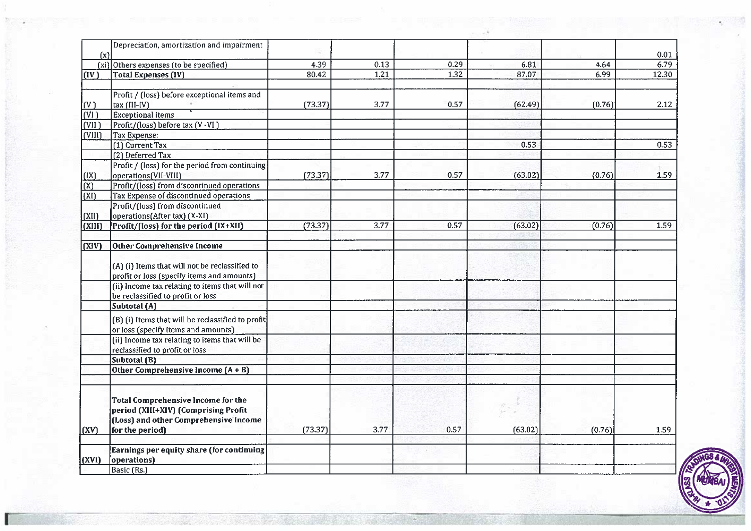| (x)                      | Depreciation, amortization and impairment                                                    |         |      |      |         |        | 0.01  |
|--------------------------|----------------------------------------------------------------------------------------------|---------|------|------|---------|--------|-------|
|                          | (xi) Others expenses (to be specified)                                                       | 4.39    | 0.13 | 0.29 | 6.81    | 4.64   | 6.79  |
| (IV)                     | <b>Total Expenses (IV)</b>                                                                   | 80.42   | 1.21 | 1.32 | 87.07   | 6.99   | 12.30 |
|                          |                                                                                              |         |      |      |         |        |       |
|                          | Profit / (loss) before exceptional items and                                                 |         |      |      |         |        |       |
| $ (\mathrm{V}) $         | tax (III-IV)                                                                                 | (73.37) | 3.77 | 0.57 | (62.49) | (0.76) | 2.12  |
| $\overline{\text{(VI)}}$ | <b>Exceptional items</b>                                                                     |         |      |      |         |        |       |
| (VII)                    | Profit/(loss) before tax (V -VI)                                                             |         |      |      |         |        |       |
| (VIII)                   | Tax Expense:                                                                                 |         |      |      |         |        |       |
|                          | (1) Current Tax                                                                              |         |      |      | 0.53    |        | 0.53  |
|                          | (2) Deferred Tax                                                                             |         |      |      |         |        |       |
|                          | Profit / (loss) for the period from continuing                                               |         |      |      |         |        |       |
| (IX)                     | operations (VII-VIII)                                                                        | (73.37) | 3.77 | 0.57 | (63.02) | (0.76) | 1.59  |
| (x)                      | Profit/(loss) from discontinued operations                                                   |         |      |      |         |        |       |
| l(XI)                    | Tax Expense of discontinued operations                                                       |         |      |      |         |        |       |
|                          | Profit/(loss) from discontinued                                                              |         |      |      |         |        |       |
|                          |                                                                                              |         |      |      |         |        |       |
| (XII)                    | operations(After tax) (X-XI)                                                                 | (73.37) |      |      | (63.02) | (0.76) | 1.59  |
| (XIII)                   | Profit/(loss) for the period (IX+XII)                                                        |         | 3.77 | 0.57 |         |        |       |
| $\overline{(XIV)}$       | Other Comprehensive Income                                                                   |         |      |      |         |        |       |
|                          | (A) (i) Items that will not be reclassified to<br>profit or loss (specify items and amounts) |         |      |      |         |        |       |
|                          | (ii) Income tax relating to items that will not<br>be reclassified to profit or loss         |         |      |      |         |        |       |
|                          | Subtotal (A)                                                                                 |         |      |      |         |        |       |
|                          | (B) (i) Items that will be reclassified to profit<br>or loss (specify items and amounts)     |         |      |      |         |        |       |
|                          | (ii) Income tax relating to items that will be<br>reclassified to profit or loss             |         |      |      |         |        |       |
|                          | Subtotal (B)                                                                                 |         |      |      |         |        |       |
|                          | Other Comprehensive Income (A + B)                                                           |         |      |      |         |        |       |
|                          | <b>Total Comprehensive Income for the</b>                                                    |         |      |      |         |        |       |
|                          | period (XIII+XIV) (Comprising Profit<br>(Loss) and other Comprehensive Income                |         |      |      |         |        |       |
| (XV)                     | for the period)                                                                              | (73.37) | 3.77 | 0.57 | (63.02) | (0.76) | 1.59  |
|                          |                                                                                              |         |      |      |         |        |       |
| (XVI)                    | Earnings per equity share (for continuing<br>operations)                                     |         |      |      |         |        |       |
|                          | Basic (Rs.)                                                                                  |         |      |      |         |        |       |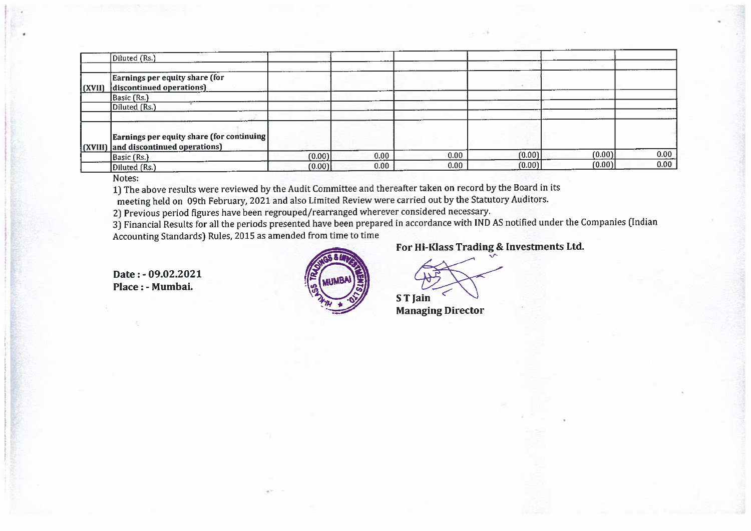|        | Diluted (Rs.)                                                                      |        |      |      |        |        |      |
|--------|------------------------------------------------------------------------------------|--------|------|------|--------|--------|------|
|        |                                                                                    |        |      |      |        |        |      |
| (XVII) | Earnings per equity share (for<br>discontinued operations)                         |        |      |      |        |        |      |
|        | Basic (Rs.)                                                                        |        |      |      |        |        |      |
|        | Diluted (Rs.)                                                                      |        |      |      |        |        |      |
|        |                                                                                    |        |      |      |        |        |      |
|        | Earnings per equity share (for continuing)<br>(XVIII) and discontinued operations) |        |      |      |        |        |      |
|        | Basic (Rs.)                                                                        | (0.00) | 0.00 | 0.00 | (0.00) | (0.00) | 0.00 |
|        | Diluted (Rs.)                                                                      | (0.00) | 0.00 | 0.00 | (0.00) | (0.00) | 0.00 |

Notes:

1) The above results were reviewed **by** the Audit Committee and thereafter taken on record **by** the Board **in** its

meeting held on 09th February, 2021 and also Limited Review were carried out **by** the Statutory Auditors.

2) Previous period figures have been regrouped/rearranged wherever considered necessary.

**31** Financial Results for all the periods presented have **been** prepared in accordance with IND AS notified under the Companies (Indian Accounting Standards) Rules, 2015 as amended from time to time

**Date** : - **09.02.2021 Place** : - **Mumbai.** 



### **For Hi-Klass Trading** & **Investments Ltd.**

**S T Jain** 

**Managing Director**